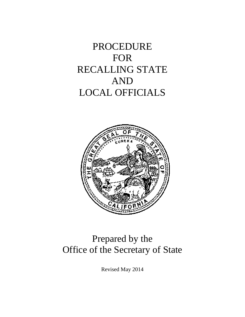# PROCEDURE FOR RECALLING STATE AND LOCAL OFFICIALS



# Prepared by the Office of the Secretary of State

Revised May 2014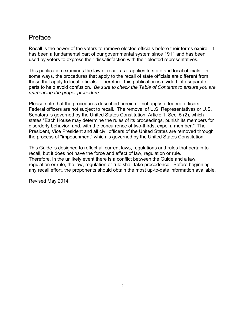# Preface

Recall is the power of the voters to remove elected officials before their terms expire. It has been a fundamental part of our governmental system since 1911 and has been used by voters to express their dissatisfaction with their elected representatives.

This publication examines the law of recall as it applies to state and local officials. In some ways, the procedures that apply to the recall of state officials are different from those that apply to local officials. Therefore, this publication is divided into separate parts to help avoid confusion. *Be sure to check the Table of Contents to ensure you are referencing the proper procedure.*

Please note that the procedures described herein do not apply to federal officers. Federal officers are not subject to recall. The removal of U.S. Representatives or U.S. Senators is governed by the United States Constitution, Article 1, Sec. 5 (2), which states "Each House may determine the rules of its proceedings, punish its members for disorderly behavior, and, with the concurrence of two-thirds, expel a member." The President, Vice President and all civil officers of the United States are removed through the process of "impeachment" which is governed by the United States Constitution.

This Guide is designed to reflect all current laws, regulations and rules that pertain to recall, but it does not have the force and effect of law, regulation or rule. Therefore, in the unlikely event there is a conflict between the Guide and a law, regulation or rule, the law, regulation or rule shall take precedence. Before beginning any recall effort, the proponents should obtain the most up-to-date information available.

Revised May 2014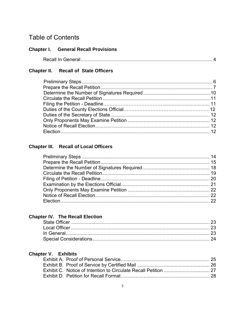# **Table of Contents**

# **Chapter I.** General Recall Provisions

|--|

# **Chapter II.** Recall of State Officers

# **Chapter III.** Recall of Local Officers

# **Chapter IV. The Recall Election**

# **Chapter V. Exhibits**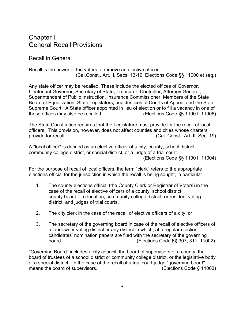# Recall in General

Recall is the power of the voters to remove an elective officer. (Cal.Const., Art. II, Secs. 13-19; Elections Code §§ 11000 et seq.)

Any state officer may be recalled. These include the elected offices of Governor, Lieutenant Governor, Secretary of State, Treasurer, Controller, Attorney General, Superintendent of Public Instruction, Insurance Commissioner, Members of the State Board of Equalization, State Legislators, and Justices of Courts of Appeal and the State Supreme Court. A State officer appointed in lieu of election or to fill a vacancy in one of these offices may also be recalled. (Elections Code §§ 11001, 11006)

The State Constitution requires that the Legislature must provide for the recall of local officers. This provision, however, does not affect counties and cities whose charters provide for recall. (Cal. Const., Art. II, Sec. 19)

A "local officer" is defined as an elective officer of a city, county, school district, community college district, or special district, or a judge of a trial court. (Elections Code §§ 11001, 11004)

For the purpose of recall of local officers, the term "clerk" refers to the appropriate elections official for the jurisdiction in which the recall is being sought, in particular:

- 1. The county elections official (the County Clerk or Registrar of Voters) in the case of the recall of elective officers of a county, school district, county board of education, community college district, or resident voting district, and judges of trial courts.
- 2. The city clerk in the case of the recall of elective officers of a city; or
- 3. The secretary of the governing board in case of the recall of elective officers of a landowner voting district or any district in which, at a regular election, candidates' nomination papers are filed with the secretary of the governing board.(Elections Code §§ 307, 311, 11002)

"Governing Board" includes a city council, the board of supervisors of a county, the board of trustees of a school district or community college district, or the legislative body of a special district. In the case of the recall of a trial court judge "governing board" means the board of supervisors. (Elections Code § 11003)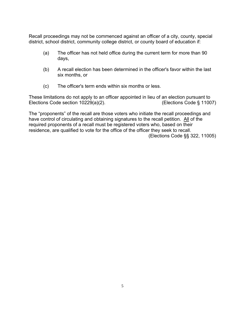Recall proceedings may not be commenced against an officer of a city, county, special district, school district, community college district, or county board of education if:

- (a) The officer has not held office during the current term for more than 90 days,
- (b) A recall election has been determined in the officer's favor within the last six months, or
- (c) The officer's term ends within six months or less.

These limitations do not apply to an officer appointed in lieu of an election pursuant to Elections Code section 10229(a)(2). (Elections Code § 11007)

The "proponents" of the recall are those voters who initiate the recall proceedings and have control of circulating and obtaining signatures to the recall petition. All of the required proponents of a recall must be registered voters who, based on their residence, are qualified to vote for the office of the officer they seek to recall.

(Elections Code §§ 322, 11005)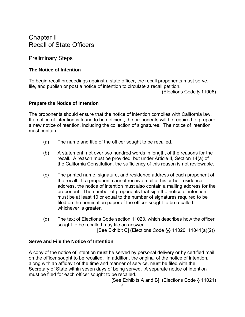# Preliminary Steps

#### **The Notice of Intention**

To begin recall proceedings against a state officer, the recall proponents must serve, file, and publish or post a notice of intention to circulate a recall petition.

(Elections Code § 11006)

#### **Prepare the Notice of Intention**

The proponents should ensure that the notice of intention complies with California law. If a notice of intention is found to be deficient, the proponents will be required to prepare a new notice of ntention, including the collection of signatures. The notice of intention must contain:

- (a) The name and title of the officer sought to be recalled.
- (b) A statement, not over two hundred words in length, of the reasons for the recall. A reason must be provided, but under Article II, Section 14(a) of the California Constitution, the sufficiency of this reason is not reviewable.
- (c) The printed name, signature, and residence address of each proponent of the recall. If a proponent cannot receive mail at his or her residence address, the notice of intention must also contain a mailing address for the proponent. The number of proponents that sign the notice of intention must be at least 10 or equal to the number of signatures required to be filed on the nomination paper of the officer sought to be recalled, whichever is greater.
- (d) The text of Elections Code section 11023, which describes how the officer sought to be recalled may file an answer.

[See Exhibit C] (Elections Code §§ 11020, 11041(a)(2))

#### **Serve and File the Notice of Intention**

A copy of the notice of intention must be served by personal delivery or by certified mail on the officer sought to be recalled. In addition, the original of the notice of intention, along with an affidavit of the time and manner of service, must be filed with the Secretary of State within seven days of being served. A separate notice of intention must be filed for each officer sought to be recalled.

[See Exhibits A and B] (Elections Code § 11021)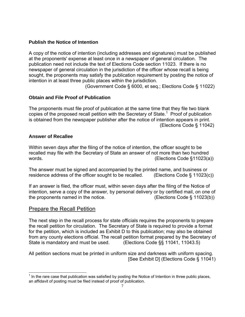#### **Publish the Notice of Intention**

A copy of the notice of intention (including addresses and signatures) must be published at the proponents' expense at least once in a newspaper of general circulation. The publication need not include the text of Elections Code section 11023. If there is no newspaper of general circulation in the jurisdiction of the officer whose recall is being sought, the proponents may satisfy the publication requirement by posting the notice of intention in at least three public places within the jurisdiction.

(Government Code § 6000, et seq.; Elections Code § 11022)

# **Obtain and File Proof of Publication**

The proponents must file proof of publication at the same time that they file two blank copies of the proposed recall petition with the Secretary of State.<sup>1</sup> Proof of publication is obtained from the newspaper publisher after the notice of intention appears in print. (Elections Code § 11042)

#### **Answer of Recallee**

Within seven days after the filing of the notice of intention, the officer sought to be recalled may file with the Secretary of State an answer of not more than two hundred words. (Elections Code §11023(a))

The answer must be signed and accompanied by the printed name, and business or residence address of the officer sought to be recalled. (Elections Code § 11023(c))

If an answer is filed, the officer must, within seven days after the filing of the Notice of intention, serve a copy of the answer, by personal delivery or by certified mail, on one of the proponents named in the notice. (Elections Code § 11023(b))

# Prepare the Recall Petition

The next step in the recall process for state officials requires the proponents to prepare the recall petition for circulation. The Secretary of State is required to provide a format for the petition, which is included as Exhibit D to this publication; may also be obtained from any county elections official. The recall petition format prepared by the Secretary of State is mandatory and must be used. (Elections Code §§ 11041, 11043.5)

All petition sections must be printed in uniform size and darkness with uniform spacing. [See Exhibit D] (Elections Code § 11041)

 $\overline{a}$  $<sup>1</sup>$  In the rare case that publication was satisfied by posting the Notice of Intention in three public places,</sup> an affidavit of posting must be filed instead of proof of publication.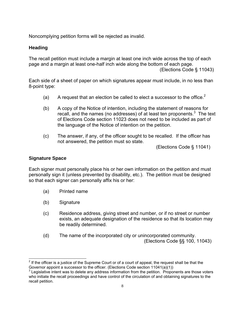Noncomplying petition forms will be rejected as invalid.

### **Heading**

The recall petition must include a margin at least one inch wide across the top of each page and a margin at least one-half inch wide along the bottom of each page.

(Elections Code § 11043)

Each side of a sheet of paper on which signatures appear must include, in no less than 8-point type:

- (a) A request that an election be called to elect a successor to the office.<sup>2</sup>
- (b) A copy of the Notice of intention, including the statement of reasons for recall, and the names (no addresses) of at least ten proponents. $3$  The text of Elections Code section 11023 does not need to be included as part of the language of the Notice of intention on the petition.
- (c) The answer, if any, of the officer sought to be recalled. If the officer has not answered, the petition must so state.

(Elections Code § 11041)

#### **Signature Space**

 $\overline{a}$ 

Each signer must personally place his or her own information on the petition and must personally sign it (unless prevented by disability, etc.). The petition must be designed so that each signer can personally affix his or her:

- (a) Printed name
- (b) Signature
- (c) Residence address, giving street and number, or if no street or number exists, an adequate designation of the residence so that its location may be readily determined.
- (d) The name of the incorporated city or unincorporated community. (Elections Code §§ 100, 11043)

 $2$  If the officer is a justice of the Supreme Court or of a court of appeal, the request shall be that the Governor appoint a successor to the officer. (Elections Code section 11041(a)(1))

 $3$  Legislative intent was to delete any address information from the petition. Proponents are those voters who initiate the recall proceedings and have control of the circulation of and obtaining signatures to the recall petition.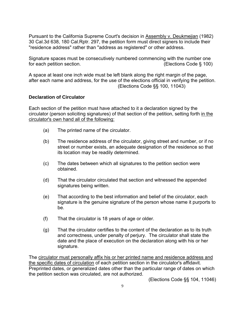Pursuant to the California Supreme Court's decision in Assembly v. Deukmejian (1982) 30 Cal.3d 638, 180 Cal.Rptr. 297, the petition form must direct signers to include their "residence address" rather than "address as registered" or other address.

Signature spaces must be consecutively numbered commencing with the number one for each petition section. (Elections Code § 100)

A space at least one inch wide must be left blank along the right margin of the page, after each name and address, for the use of the elections official in verifying the petition. (Elections Code §§ 100, 11043)

#### **Declaration of Circulator**

Each section of the petition must have attached to it a declaration signed by the circulator (person soliciting signatures) of that section of the petition, setting forth in the circulator's own hand all of the following:

- (a) The printed name of the circulator.
- (b) The residence address of the circulator, giving street and number, or if no street or number exists, an adequate designation of the residence so that its location may be readily determined.
- (c) The dates between which all signatures to the petition section were obtained.
- (d) That the circulator circulated that section and witnessed the appended signatures being written.
- (e) That according to the best information and belief of the circulator, each signature is the genuine signature of the person whose name it purports to be.
- (f) That the circulator is 18 years of age or older.
- (g) That the circulator certifies to the content of the declaration as to its truth and correctness, under penalty of perjury. The circulator shall state the date and the place of execution on the declaration along with his or her signature.

The circulator must personally affix his or her printed name and residence address and the specific dates of circulation of each petition section in the circulator's affidavit. Preprinted dates, or generalized dates other than the particular range of dates on which the petition section was circulated, are not authorized.

(Elections Code §§ 104, 11046)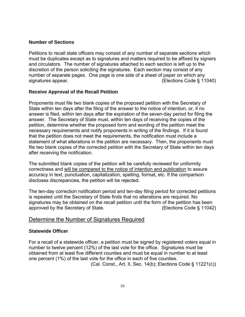#### **Number of Sections**

Petitions to recall state officers may consist of any number of separate sections which must be duplicates except as to signatures and matters required to be affixed by signers and circulators. The number of signatures attached to each section is left up to the discretion of the person soliciting the signatures. Each section may consist of any number of separate pages. One page is one side of a sheet of paper on which any signatures appear. The state of the state of the state (Elections Code § 11040)

#### **Receive Approval of the Recall Petition**

Proponents must file two blank copies of the proposed petition with the Secretary of State within ten days after the filing of the answer to the notice of intention, or, if no answer is filed, within ten days after the expiration of the seven-day period for filing the answer. The Secretary of State must, within ten days of receiving the copies of the petition, determine whether the proposed form and wording of the petition meet the necessary requirements and notify proponents in writing of the findings. If it is found that the petition does not meet the requirements, the notification must include a statement of what alterations in the petition are necessary. Then, the proponents must file two blank copies of the corrected petition with the Secretary of State within ten days after receiving the notification.

The submitted blank copies of the petition will be carefully reviewed for uniformity correctness and will be compared to the notice of intention and publication to assure accuracy in text, punctuation, capitalization, spelling, format, etc. If the comparison discloses discrepancies, the petition will be rejected.

The ten-day correction notification period and ten-day filing period for corrected petitions is repeated until the Secretary of State finds that no alterations are required. No signatures may be obtained on the recall petition until the form of the petition has been approved by the Secretary of State. (Elections Code § 11042)

# Determine the Number of Signatures Required

#### **Statewide Officer**

For a recall of a statewide officer, a petition must be signed by registered voters equal in number to twelve percent (12%) of the last vote for the office. Signatures must be obtained from at least five different counties and must be equal in number to at least one percent (1%) of the last vote for the office in each of five counties.

(Cal. Const., Art. II, Sec. 14(b); Elections Code § 11221(c))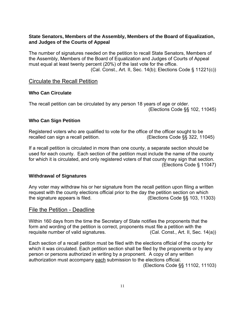#### **State Senators, Members of the Assembly, Members of the Board of Equalization, and Judges of the Courts of Appeal**

The number of signatures needed on the petition to recall State Senators, Members of the Assembly, Members of the Board of Equalization and Judges of Courts of Appeal must equal at least twenty percent (20%) of the last vote for the office. (Cal. Const., Art. II, Sec. 14(b); Elections Code § 11221(c))

# Circulate the Recall Petition

#### **Who Can Circulate**

The recall petition can be circulated by any person 18 years of age or older. (Elections Code §§ 102, 11045)

#### **Who Can Sign Petition**

Registered voters who are qualified to vote for the office of the officer sought to be recalled can sign a recall petition. (Elections Code §§ 322, 11045)

If a recall petition is circulated in more than one county, a separate section should be used for each county. Each section of the petition must include the name of the county for which it is circulated, and only registered voters of that county may sign that section. (Elections Code § 11047)

#### **Withdrawal of Signatures**

Any voter may withdraw his or her signature from the recall petition upon filing a written request with the county elections official prior to the day the petition section on which the signature appears is filed. (Elections Code §§ 103, 11303)

# File the Petition - Deadline

Within 160 days from the time the Secretary of State notifies the proponents that the form and wording of the petition is correct, proponents must file a petition with the requisite number of valid signatures. (Cal. Const., Art. II, Sec. 14(a))

Each section of a recall petition must be filed with the elections official of the county for which it was circulated. Each petition section shall be filed by the proponents or by any person or persons authorized in writing by a proponent. A copy of any written authorization must accompany each submission to the elections official. (Elections Code §§ 11102, 11103)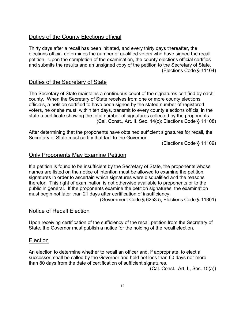# Duties of the County Elections official

Thirty days after a recall has been initiated, and every thirty days thereafter, the elections official determines the number of qualified voters who have signed the recall petition. Upon the completion of the examination, the county elections official certifies and submits the results and an unsigned copy of the petition to the Secretary of State. (Elections Code § 11104)

# Duties of the Secretary of State

The Secretary of State maintains a continuous count of the signatures certified by each county. When the Secretary of State receives from one or more county elections officials, a petition certified to have been signed by the stated number of registered voters, he or she must, within ten days, transmit to every county elections official in the state a certificate showing the total number of signatures collected by the proponents. (Cal. Const., Art. II, Sec. 14(c); Elections Code § 11108)

After determining that the proponents have obtained sufficient signatures for recall, the Secretary of State must certify that fact to the Governor.

(Elections Code § 11109)

# Only Proponents May Examine Petition

If a petition is found to be insufficient by the Secretary of State, the proponents whose names are listed on the notice of intention must be allowed to examine the petition signatures in order to ascertain which signatures were disqualified and the reasons therefor. This right of examination is not otherwise available to proponents or to the public in general. If the proponents examine the petition signatures, the examination must begin not later than 21 days after certification of insufficiency.

(Government Code § 6253.5, Elections Code § 11301)

# Notice of Recall Election

Upon receiving certification of the sufficiency of the recall petition from the Secretary of State, the Governor must publish a notice for the holding of the recall election.

# Election

An election to determine whether to recall an officer and, if appropriate, to elect a successor, shall be called by the Governor and held not less than 60 days nor more than 80 days from the date of certification of sufficient signatures.

(Cal. Const., Art. II, Sec. 15(a))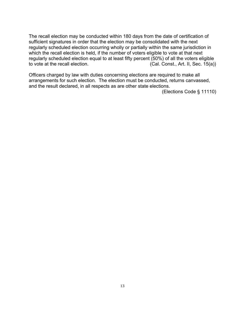The recall election may be conducted within 180 days from the date of certification of sufficient signatures in order that the election may be consolidated with the next regularly scheduled election occurring wholly or partially within the same jurisdiction in which the recall election is held, if the number of voters eligible to vote at that next regularly scheduled election equal to at least fifty percent (50%) of all the voters eligible<br>to vote at the recall election. (Cal. Const., Art. II, Sec. 15(a))  $(Cal. Const., Art. II, Sec. 15(a))$ 

Officers charged by law with duties concerning elections are required to make all arrangements for such election. The election must be conducted, returns canvassed, and the result declared, in all respects as are other state elections.

(Elections Code § 11110)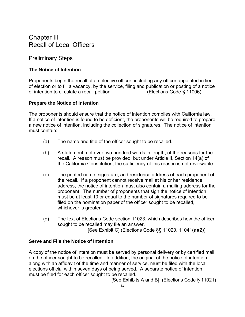# Preliminary Steps

#### **The Notice of Intention**

Proponents begin the recall of an elective officer, including any officer appointed in lieu of election or to fill a vacancy, by the service, filing and publication or posting of a notice of intention to circulate a recall petition. (Elections Code § 11006)

#### **Prepare the Notice of Intention**

The proponents should ensure that the notice of intention complies with California law. If a notice of intention is found to be deficient, the proponents will be required to prepare a new notice of intention, including the collection of signatures. The notice of intention must contain:

- (a) The name and title of the officer sought to be recalled.
- (b) A statement, not over two hundred words in length, of the reasons for the recall. A reason must be provided, but under Article II, Section 14(a) of the California Constitution, the sufficiency of this reason is not reviewable.
- (c) The printed name, signature, and residence address of each proponent of the recall. If a proponent cannot receive mail at his or her residence address, the notice of intention must also contain a mailing address for the proponent. The number of proponents that sign the notice of intention must be at least 10 or equal to the number of signatures required to be filed on the nomination paper of the officer sought to be recalled, whichever is greater.
- (d) The text of Elections Code section 11023, which describes how the officer sought to be recalled may file an answer.

[See Exhibit C] (Elections Code §§ 11020, 11041(a)(2))

#### **Serve and File the Notice of Intention**

A copy of the notice of intention must be served by personal delivery or by certified mail on the officer sought to be recalled. In addition, the original of the notice of intention, along with an affidavit of the time and manner of service, must be filed with the local elections official within seven days of being served. A separate notice of intention must be filed for each officer sought to be recalled.

[See Exhibits A and B] (Elections Code § 11021)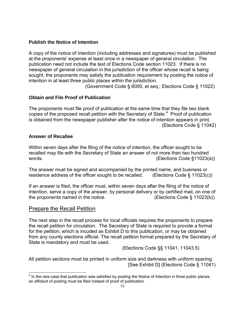#### **Publish the Notice of Intention**

A copy of the notice of intention (including addresses and signatures) must be published at the proponents' expense at least once in a newspaper of general circulation. The publication need not include the text of Elections Code section 11023. If there is no newspaper of general circulation in the jurisdiction of the officer whose recall is being sought, the proponents may satisfy the publication requirement by posting the notice of intention in at least three public places within the jurisdiction.

(Government Code § 6000, et seq.; Elections Code § 11022)

#### **Obtain and File Proof of Publication**

The proponents must file proof of publication at the same time that they file two blank copies of the proposed recall petition with the Secretary of State.<sup>4</sup> Proof of publication is obtained from the newspaper publisher after the notice of intention appears in print. (Elections Code § 11042)

#### **Answer of Recallee**

Within seven days after the filing of the notice of intention, the officer sought to be recalled may file with the Secretary of State an answer of not more than two hundred words. (Elections Code §11023(a))

The answer must be signed and accompanied by the printed name, and business or residence address of the officer sought to be recalled. (Elections Code § 11023(c))

If an answer is filed, the officer must, within seven days after the filing of the notice of intention, serve a copy of the answer, by personal delivery or by certified mail, on one of the proponents named in the notice. (Elections Code § 11023(b))

# Prepare the Recall Petition

The next step in the recall process for local officials requires the proponents to prepare the recall petition for circulation. The Secretary of State is required to provide a format for the petition, which is incuded as Exhibit D to this publication, or may be obtained from any county elections official. The recall petition format prepared by the Secretary of State is mandatory and must be used.

(Elections Code §§ 11041, 11043.5)

All petition sections must be printed in uniform size and darkness with uniform spacing. [See Exhibit D] (Elections Code § 11041)

The rare case that publication was satisfied by posting the Notice of Intention in three public places, an affidavit of posting must be filed instead of proof of publication.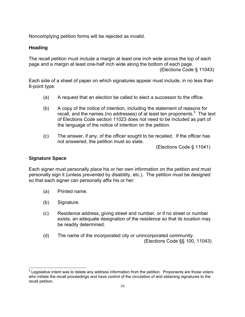Noncomplying petition forms will be rejected as invalid.

### **Heading**

The recall petition must include a margin at least one inch wide across the top of each page and a margin at least one-half inch wide along the bottom of each page.

(Elections Code § 11043)

Each side of a sheet of paper on which signatures appear must include, in no less than 8-point type:

- (a) A request that an election be called to elect a successor to the office.
- (b) A copy of the notice of intention, including the statement of reasons for recall, and the names (no addresses) of at least ten proponents.<sup>5</sup> The text of Elections Code section 11023 does not need to be included as part of the language of the notice of intention on the petition.
- (c) The answer, if any, of the officer sought to be recalled. If the officer has not answered, the petition must so state.

(Elections Code § 11041)

#### **Signature Space**

 $\overline{a}$ 

Each signer must personally place his or her own information on the petition and must personally sign it (unless prevented by disability, etc.). The petition must be designed so that each signer can personally affix his or her:

- (a) Printed name.
- (b) Signature.
- (c) Residence address, giving street and number, or if no street or number exists, an adequate designation of the residence so that its location may be readily determined.
- (d) The name of the incorporated city or unincorporated community. (Elections Code §§ 100, 11043)

<sup>&</sup>lt;sup>5</sup> Legislative intent was to delete any address information from the petition. Proponents are those voters who initiate the recall proceedings and have control of the circulation of and obtaining signatures to the recall petition.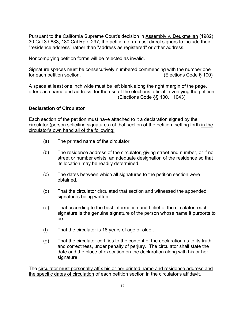Pursuant to the California Supreme Court's decision in Assembly v. Deukmejian (1982) 30 Cal.3d 638, 180 Cal.Rptr. 297, the petition form must direct signers to include their "residence address" rather than "address as registered" or other address.

Noncomplying petition forms will be rejected as invalid.

Signature spaces must be consecutively numbered commencing with the number one for each petition section. (Elections Code § 100)

A space at least one inch wide must be left blank along the right margin of the page, after each name and address, for the use of the elections official in verifying the petition. (Elections Code §§ 100, 11043)

#### **Declaration of Circulator**

Each section of the petition must have attached to it a declaration signed by the circulator (person soliciting signatures) of that section of the petition, setting forth in the circulator's own hand all of the following:

- (a) The printed name of the circulator.
- (b) The residence address of the circulator, giving street and number, or if no street or number exists, an adequate designation of the residence so that its location may be readily determined.
- (c) The dates between which all signatures to the petition section were obtained.
- (d) That the circulator circulated that section and witnessed the appended signatures being written.
- (e) That according to the best information and belief of the circulator, each signature is the genuine signature of the person whose name it purports to be.
- (f) That the circulator is 18 years of age or older.
- (g) That the circulator certifies to the content of the declaration as to its truth and correctness, under penalty of perjury. The circulator shall state the date and the place of execution on the declaration along with his or her signature.

The circulator must personally affix his or her printed name and residence address and the specific dates of circulation of each petition section in the circulator's affidavit.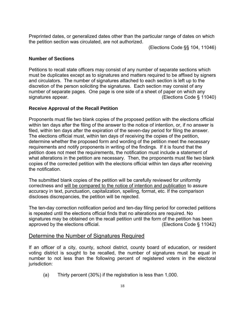Preprinted dates, or generalized dates other than the particular range of dates on which the petition section was circulated, are not authorized.

(Elections Code §§ 104, 11046)

#### **Number of Sections**

Petitions to recall state officers may consist of any number of separate sections which must be duplicates except as to signatures and matters required to be affixed by signers and circulators. The number of signatures attached to each section is left up to the discretion of the person soliciting the signatures. Each section may consist of any number of separate pages. One page is one side of a sheet of paper on which any signatures appear. The state of the state of the state of the state (Elections Code § 11040)

#### **Receive Approval of the Recall Petition**

Proponents must file two blank copies of the proposed petition with the elections official within ten days after the filing of the answer to the notice of intention, or, if no answer is filed, within ten days after the expiration of the seven-day period for filing the answer. The elections official must, within ten days of receiving the copies of the petition, determine whether the proposed form and wording of the petition meet the necessary requirements and notify proponents in writing of the findings. If it is found that the petition does not meet the requirements, the notification must include a statement of what alterations in the petition are necessary. Then, the proponents must file two blank copies of the corrected petition with the elections official within ten days after receiving the notification.

The submitted blank copies of the petition will be carefully reviewed for uniformity correctness and will be compared to the notice of intention and publication to assure accuracy in text, punctuation, capitalization, spelling, format, etc. If the comparison discloses discrepancies, the petition will be rejected.

The ten-day correction notification period and ten-day filing period for corrected petitions is repeated until the elections official finds that no alterations are required. No signatures may be obtained on the recall petition until the form of the petition has been approved by the elections official. (Elections Code § 11042)

#### Determine the Number of Signatures Required

If an officer of a city, county, school district, county board of education, or resident voting district is sought to be recalled, the number of signatures must be equal in number to not less than the following percent of registered voters in the electoral jurisdiction:

(a) Thirty percent (30%) if the registration is less than 1,000.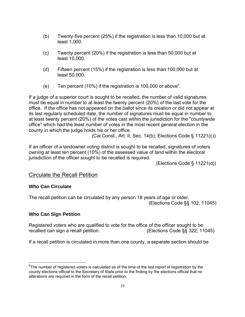- (b) Twenty-five percent (25%) if the registration is less than 10,000 but at least 1,000.
- (c) Twenty percent (20%) if the registration is less than 50,000 but at least 10,000.
- (d) Fifteen percent (15%) if the registration is less than 100,000 but at least 50,000.
- (e) Ten percent (10%) if the registration is 100,000 or above6 .

If a judge of a superior court is sought to be recalled, the number of valid signatures must be equal in number to at least the twenty percent (20%) of the last vote for the office. If the office has not appeared on the ballot since its creation or did not appear at its last regularly scheduled date, the number of signatures must be equal in number to at least twenty percent (20%) of the votes cast within the jurisdiction for the "countywide office" which had the least number of votes in the most recent general election in the county in which the judge holds his or her office.

(Cal.Const., Art. II, Sec. 14(b); Elections Code § 11221(c))

If an officer of a landowner voting district is sought to be recalled, signatures of voters owning at least ten percent (10%) of the assessed value of land within the electoral jurisdiction of the officer sought to be recalled is required.

(Elections Code § 11221(d))

# Circulate the Recall Petition

#### **Who Can Circulate**

The recall petition can be circulated by any person 18 years of age or older. (Elections Code §§ 102, 11045)

#### **Who Can Sign Petition**

 $\overline{a}$ 

Registered voters who are qualified to vote for the office of the officer sought to be recalled can sign a recall petition. (Elections Code §§ 322, 11045)

If a recall petition is circulated in more than one county, a separate section should be

 $^6$ The number of registered voters is calculated as of the time of the last report of registration by the county elections official to the Secretary of State prior to the finding by the elections official that no alterations are required in the form of the recall petition.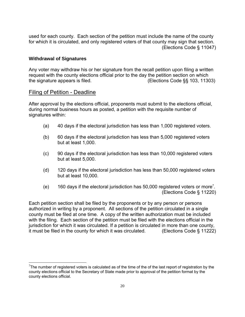used for each county. Each section of the petition must include the name of the county for which it is circulated, and only registered voters of that county may sign that section. (Elections Code § 11047)

#### **Withdrawal of Signatures**

Any voter may withdraw his or her signature from the recall petition upon filing a written request with the county elections official prior to the day the petition section on which the signature appears is filed. (Elections Code §§ 103, 11303)

#### Filing of Petition - Deadline

 $\overline{a}$ 

After approval by the elections official, proponents must submit to the elections official, during normal business hours as posted, a petition with the requisite number of signatures within:

- (a) 40 days if the electoral jurisdiction has less than 1,000 registered voters.
- (b) 60 days if the electoral jurisdiction has less than 5,000 registered voters but at least 1,000.
- (c) 90 days if the electoral jurisdiction has less than 10,000 registered voters but at least 5,000.
- (d) 120 days if the electoral jurisdiction has less than 50,000 registered voters but at least 10,000.
- (e) 160 days if the electoral jurisdiction has 50,000 registered voters or more7 . (Elections Code § 11220)

Each petition section shall be filed by the proponents or by any person or persons authorized in writing by a proponent. All sections of the petition circulated in a single county must be filed at one time. A copy of the written authorization must be included with the filing. Each section of the petition must be filed with the elections official in the jurisdiction for which it was circulated. If a petition is circulated in more than one county, it must be filed in the county for which it was circulated. (Elections Code § 11222)

 $7$ The number of registered voters is calculated as of the time of the of the last report of registration by the county elections official to the Secretary of State made prior to approval of the petition format by the county elections official.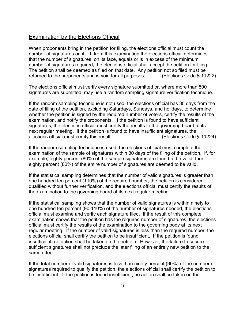### Examination by the Elections Official

When proponents bring in the petition for filing, the elections official must count the number of signatures on it. If, from this examination the elections official determines that the number of signatures, on its face, equals or is in excess of the minimum number of signatures required, the elections official shall accept the petition for filing. The petition shall be deemed as filed on that date. Any petition not so filed must be returned to the proponents and is void for all purposes. (Elections Code § 11222)

The elections official must verify every signature submitted or, where more than 500 signatures are submitted, may use a random sampling signature verification technique.

If the random sampling technique is not used, the elections official has 30 days from the date of filing of the petition, excluding Saturdays, Sundays, and holidays, to determine whether the petition is signed by the required number of voters, certify the results of the examination, and notify the proponents. If the petition is found to have sufficient signatures, the elections official must certify the results to the governing board at its next regular meeting. If the petition is found to have insufficient signatures, the elections official must certify this result. (Elections Code § 11224)

If the random sampling technique is used, the elections official must complete the examination of the sample of signatures within 30 days of the filing of the petition. If, for example, eighty percent (80%) of the sample signatures are found to be valid, then eighty percent (80%) of the entire number of signatures are deemed to be valid.

If the statistical sampling determines that the number of valid signatures is greater than one hundred ten percent (110%) of the required number, the petition is considered qualified without further verification, and the elections official must certify the results of the examination to the governing board at its next regular meeting.

If the statistical sampling shows that the number of valid signatures is within ninety to one hundred ten percent (90-110%) of the number of signatures needed, the elections official must examine and verify each signature filed. If the result of this complete examination shows that the petition has the required number of signatures, the elections official must certify the results of the examination to the governing body at its next regular meeting. If the number of valid signatures is less than the required number, the elections official shall certify the petition to be insufficient. If the petition is found insufficient, no action shall be taken on the petition. However, the failure to secure sufficient signatures shall not preclude the later filing of an entirely new petition to the same effect.

If the total number of valid signatures is less than ninety percent (90%) of the number of signatures required to qualify the petition, the elections official shall certify the petition to be insufficient. If the petition is found insufficient, no action shall be taken on the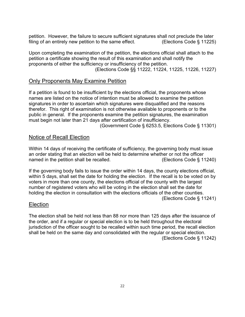petition. However, the failure to secure sufficient signatures shall not preclude the later filing of an entirely new petition to the same effect. (Elections Code  $\S$  11225)

Upon completing the examination of the petition, the elections official shall attach to the petition a certificate showing the result of this examination and shall notify the proponents of either the sufficiency or insufficiency of the petition. (Elections Code §§ 11222, 11224, 11225, 11226, 11227)

# Only Proponents May Examine Petition

If a petition is found to be insufficient by the elections official, the proponents whose names are listed on the notice of intention must be allowed to examine the petition signatures in order to ascertain which signatures were disqualified and the reasons therefor. This right of examination is not otherwise available to proponents or to the public in general. If the proponents examine the petition signatures, the examination must begin not later than 21 days after certification of insufficiency.

(Government Code § 6253.5, Elections Code § 11301)

# Notice of Recall Election

Within 14 days of receiving the certificate of sufficiency, the governing body must issue an order stating that an election will be held to determine whether or not the officer named in the petition shall be recalled. (Elections Code § 11240)

If the governing body fails to issue the order within 14 days, the county elections official, within 5 days, shall set the date for holding the election. If the recall is to be voted on by voters in more than one county, the elections official of the county with the largest number of registered voters who will be voting in the election shall set the date for holding the election in consultation with the elections officials of the other counties.

(Elections Code § 11241)

#### Election

The election shall be held not less than 88 nor more than 125 days after the issuance of the order, and if a regular or special election is to be held throughout the electoral jurisdiction of the officer sought to be recalled within such time period, the recall election shall be held on the same day and consolidated with the regular or special election. (Elections Code § 11242)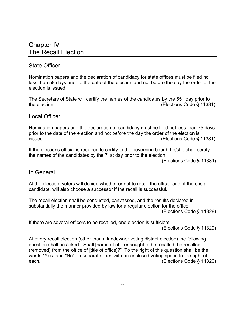# Chapter IV The Recall Election

# State Officer

Nomination papers and the declaration of candidacy for state offices must be filed no less than 59 days prior to the date of the election and not before the day the order of the election is issued.

The Secretary of State will certify the names of the candidates by the 55<sup>th</sup> day prior to the election. (Elections Code § 11381)

#### Local Officer

Nomination papers and the declaration of candidacy must be filed not less than 75 days prior to the date of the election and not before the day the order of the election is issued. (Elections Code § 11381)

If the elections official is required to certify to the governing board, he/she shall certify the names of the candidates by the 71st day prior to the election.

(Elections Code § 11381)

# In General

At the election, voters will decide whether or not to recall the officer and, if there is a candidate, will also choose a successor if the recall is successful.

The recall election shall be conducted, canvassed, and the results declared in substantially the manner provided by law for a regular election for the office. (Elections Code § 11328)

If there are several officers to be recalled, one election is sufficient.

(Elections Code § 11329)

At every recall election (other than a landowner voting district election) the following question shall be asked: "Shall [name of officer sought to be recalled] be recalled (removed) from the office of [title of office]?" To the right of this question shall be the words "Yes" and "No" on separate lines with an enclosed voting space to the right of each. (Elections Code § 11320)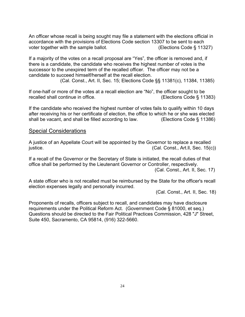An officer whose recall is being sought may file a statement with the elections official in accordance with the provisions of Elections Code section 13307 to be sent to each voter together with the sample ballot. (Elections Code § 11327)

If a majority of the votes on a recall proposal are "Yes", the officer is removed and, if there is a candidate, the candidate who receives the highest number of votes is the successor to the unexpired term of the recalled officer. The officer may not be a candidate to succeed himself/herself at the recall election.

(Cal. Const., Art. II, Sec. 15; Elections Code §§ 11381(c), 11384, 11385)

If one-half or more of the votes at a recall election are "No", the officer sought to be recalled shall continue in office. (Elections Code § 11383)

If the candidate who received the highest number of votes fails to qualify within 10 days after receiving his or her certificate of election, the office to which he or she was elected shall be vacant, and shall be filled according to law. (Elections Code § 11386)

#### Special Considerations

A justice of an Appellate Court will be appointed by the Governor to replace a recalled justice. (Cal. Const., Art.ll, Sec. 15(c))

If a recall of the Governor or the Secretary of State is initiated, the recall duties of that office shall be performed by the Lieutenant Governor or Controller, respectively. (Cal. Const., Art. II, Sec. 17)

A state officer who is not recalled must be reimbursed by the State for the officer's recall election expenses legally and personally incurred.

(Cal. Const., Art. II, Sec. 18)

Proponents of recalls, officers subject to recall, and candidates may have disclosure requirements under the Political Reform Act. (Government Code § 81000, et seq.) Questions should be directed to the Fair Political Practices Commission, 428 "J" Street, Suite 450, Sacramento, CA 95814, (916) 322-5660.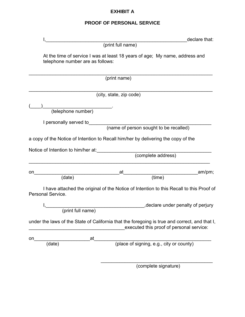# **EXHIBIT A**

# **PROOF OF PERSONAL SERVICE**

|    |                                       | declare that:                                                                                                                             |
|----|---------------------------------------|-------------------------------------------------------------------------------------------------------------------------------------------|
|    |                                       | (print full name)                                                                                                                         |
|    | telephone number are as follows:      | At the time of service I was at least 18 years of age; My name, address and                                                               |
|    |                                       | (print name)                                                                                                                              |
|    |                                       | (city, state, zip code)                                                                                                                   |
|    |                                       |                                                                                                                                           |
|    | (telephone number)                    |                                                                                                                                           |
|    | I personally served to_______________ |                                                                                                                                           |
|    |                                       | (name of person sought to be recalled)                                                                                                    |
|    |                                       | a copy of the Notice of Intention to Recall him/her by delivering the copy of the                                                         |
|    | Notice of Intention to him/her at:    |                                                                                                                                           |
|    |                                       | (complete address)                                                                                                                        |
| on |                                       | _am/pm;<br>at                                                                                                                             |
|    | (date)                                | time)                                                                                                                                     |
|    | Personal Service.                     | I have attached the original of the Notice of Intention to this Recall to this Proof of                                                   |
|    |                                       | declare under penalty of perjury,                                                                                                         |
|    | (print full name)                     |                                                                                                                                           |
|    |                                       | under the laws of the State of California that the foregoing is true and correct, and that I,<br>executed this proof of personal service: |
| on | at                                    |                                                                                                                                           |
|    | (date)                                | (place of signing, e.g., city or county)                                                                                                  |
|    |                                       |                                                                                                                                           |
|    |                                       |                                                                                                                                           |

(complete signature)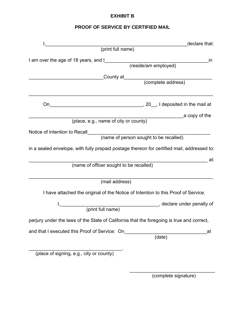# **EXHIBIT B**

# **PROOF OF SERVICE BY CERTIFIED MAIL**

| declare that:                                                                              |
|--------------------------------------------------------------------------------------------|
| (print full name)                                                                          |
| I am over the age of 18 years, and I<br>in                                                 |
| (reside/am employed)                                                                       |
|                                                                                            |
| County at (complete address)                                                               |
| On                                                                                         |
| a copy of the                                                                              |
| (place, e.g., name of city or county)                                                      |
| Notice of Intention to Recall______<br>(name of person sought to be recalled)              |
|                                                                                            |
| in a sealed envelope, with fully prepaid postage thereon for certified mail, addressed to: |
| at:<br>(name of officer sought to be recalled)                                             |
|                                                                                            |
| (mail address)                                                                             |
| I have attached the original of the Notice of Intention to this Proof of Service.          |
| declare under penalty of                                                                   |
| (print full name)                                                                          |
| perjury under the laws of the State of California that the foregoing is true and correct,  |
| and that I executed this Proof of Service: On<br>at<br>(date)                              |
|                                                                                            |
| (place of signing, e.g., city or county)                                                   |

 $\overline{\phantom{a}}$  , and the contract of the contract of the contract of the contract of the contract of the contract of the contract of the contract of the contract of the contract of the contract of the contract of the contrac

(complete signature)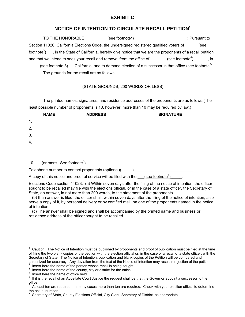#### **EXHIBIT C**

#### **NOTICE OF INTENTION TO CIRCULATE RECALL PETITION1**

| (see footnote <sup>2</sup> )<br>TO THE HONORABLE                                                                            | : Pursuant to |
|-----------------------------------------------------------------------------------------------------------------------------|---------------|
| Section 11020, California Elections Code, the undersigned registered qualified voters of                                    | (see          |
| footnote <sup>3</sup> )<br>, in the State of California, hereby give notice that we are the proponents of a recall petition |               |
| (see footnote <sup>4</sup> )<br>and that we intend to seek your recall and removal from the office of                       | . in          |
| (see footnote 3) . California, and to demand election of a successor in that office (see footnote <sup>5</sup> ).           |               |
| The grounds for the recall are as follows:                                                                                  |               |

#### (STATE GROUNDS, 200 WORDS OR LESS)

The printed names, signatures, and residence addresses of the proponents are as follows:(The least possible number of proponents is 10, however, more than 10 may be required by law.)

| <b>NAME</b>                                | <b>ADDRESS</b>                                                    | <b>SIGNATURE</b> |  |
|--------------------------------------------|-------------------------------------------------------------------|------------------|--|
| $1.$                                       |                                                                   |                  |  |
| 2.                                         |                                                                   |                  |  |
| $3.$                                       |                                                                   |                  |  |
| 4.                                         |                                                                   |                  |  |
|                                            |                                                                   |                  |  |
|                                            |                                                                   |                  |  |
| 10.  (or more. See footnote <sup>6</sup> ) |                                                                   |                  |  |
|                                            | Telephone number to contact proponents (optional)(                |                  |  |
|                                            | A copy of this notice and proof of service will be filed with the | (see footnote'   |  |

Elections Code section 11023. (a) Within seven days after the filing of the notice of intention, the officer sought to be recalled may file with the elections official, or in the case of a state officer, the Secretary of State, an answer, in not more than 200 words, to the statement of the proponents.

(b) If an answer is filed, the officer shall, within seven days after the filing of the notice of intention, also serve a copy of it, by personal delivery or by certified mail, on one of the proponents named in the notice of intention.

(c) The answer shall be signed and shall be accompanied by the printed name and business or residence address of the officer sought to be recalled.

 1 Caution: The Notice of Intention must be published by proponents and proof of publication must be filed at the time of filing the two blank copies of the petition with the election official or, in the case of a recall of a state officer, with the Secretary of State. The Notice of Intention, publication and blank copies of the Petition will be compared and scrutinized for accuracy. Any deviation from the text of the Notice of Intention may result in rejection of the petition.<br><sup>2</sup> Insert here the name of the person whose recall is being sought.

 $\frac{1}{3}$  Insert here the name of the person whose recall is being sought.<br>3. Insert here the name of the sounty, gity or district for the office.

Insert here the name of the county, city or district for the office.<br>  $\frac{4}{5}$  Insert here the name of office held.<br>  $\frac{5}{5}$  If it is the recall of an Appellate Court, lustice the request shall h

 $5$  If it is the recall of an Appellate Court Justice the request shall be that the Governor appoint a successor to the office.

<sup>6</sup> At least ten are required. In many cases more than ten are required. Check with your election official to determine the actual number.

<sup>7</sup> Secretary of State, County Elections Official, City Clerk, Secretary of District, as appropriate.